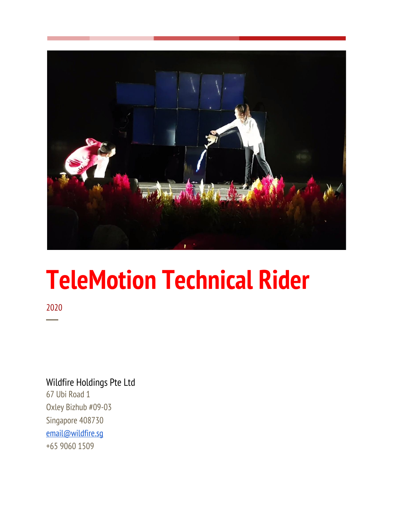

# **TeleMotion Technical Rider**

2020 ─

## Wildfire Holdings Pte Ltd

67 Ubi Road 1 Oxley Bizhub #09-03 Singapore 408730 [email@wildfire.sg](mailto:email@wildfire.sg) +65 9060 1509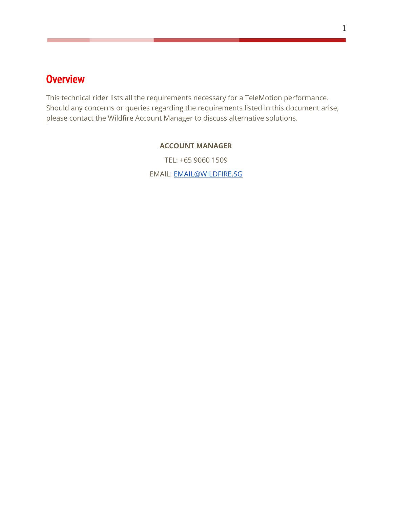# <span id="page-1-0"></span>**Overview**

This technical rider lists all the requirements necessary for a TeleMotion performance. Should any concerns or queries regarding the requirements listed in this document arise, please contact the Wildfire Account Manager to discuss alternative solutions.

#### **ACCOUNT MANAGER**

TEL: +65 9060 1509 EMAIL: [EMAIL@WILDFIRE.SG](mailto:EMAIL@WILDFIRE.SG)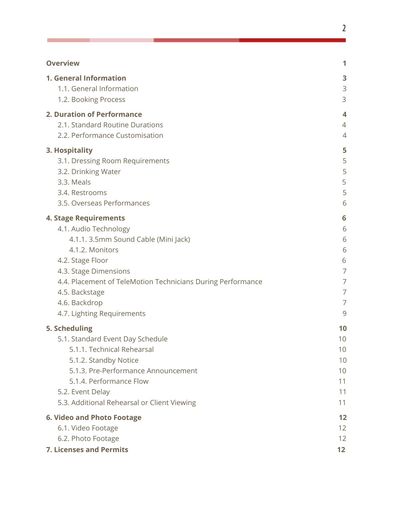## **[Overview](#page-1-0) [1](#page-1-0)**

Г

| 1. General Information                                      | 3              |
|-------------------------------------------------------------|----------------|
| 1.1. General Information                                    | 3              |
| 1.2. Booking Process                                        | 3              |
| 2. Duration of Performance                                  | 4              |
| 2.1. Standard Routine Durations                             | 4              |
| 2.2. Performance Customisation                              | 4              |
| 3. Hospitality                                              | 5              |
| 3.1. Dressing Room Requirements                             | 5              |
| 3.2. Drinking Water                                         | 5              |
| 3.3. Meals                                                  | 5              |
| 3.4. Restrooms                                              | 5              |
| 3.5. Overseas Performances                                  | 6              |
| <b>4. Stage Requirements</b>                                | 6              |
| 4.1. Audio Technology                                       | 6              |
| 4.1.1. 3.5mm Sound Cable (Mini Jack)                        | 6              |
| 4.1.2. Monitors                                             | 6              |
| 4.2. Stage Floor                                            | 6              |
| 4.3. Stage Dimensions                                       | $\overline{7}$ |
| 4.4. Placement of TeleMotion Technicians During Performance | 7              |
| 4.5. Backstage                                              | 7              |
| 4.6. Backdrop                                               | $\overline{7}$ |
| 4.7. Lighting Requirements                                  | 9              |
| 5. Scheduling                                               | 10             |
| 5.1. Standard Event Day Schedule                            | 10             |
| 5.1.1. Technical Rehearsal                                  | 10             |
| 5.1.2. Standby Notice                                       | 10             |
| 5.1.3. Pre-Performance Announcement                         | 10             |
| 5.1.4. Performance Flow                                     | 11             |
| 5.2. Event Delay                                            | 11             |
| 5.3. Additional Rehearsal or Client Viewing                 | 11             |
| <b>6. Video and Photo Footage</b>                           | 12             |
| 6.1. Video Footage                                          | 12             |
| 6.2. Photo Footage                                          | 12             |
| <b>7. Licenses and Permits</b>                              | 12             |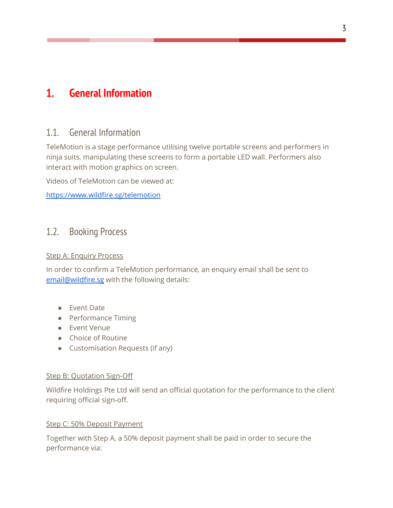# <span id="page-3-1"></span><span id="page-3-0"></span>**1. General Information**

## 1.1. General Information

TeleMotion is a stage performance utilising twelve portable screens and performers in ninja suits, manipulating these screens to form a portable LED wall. Performers also interact with motion graphics on screen.

Videos of TeleMotion can be viewed at:

<https://www.wildfire.sg/telemotion>

## <span id="page-3-2"></span>1.2. Booking Process

#### Step A: Enquiry Process

In order to confirm a TeleMotion performance, an enquiry email shall be sent to [email@wildfire.sg](mailto:email@wildfire.sg) with the following details:

- Event Date
- Performance Timing
- Event Venue
- Choice of Routine
- Customisation Requests (if any)

#### Step B: Quotation Sign-Off

Wildfire Holdings Pte Ltd will send an official quotation for the performance to the client requiring official sign-off.

#### Step C: 50% Deposit Payment

Together with Step A, a 50% deposit payment shall be paid in order to secure the performance via: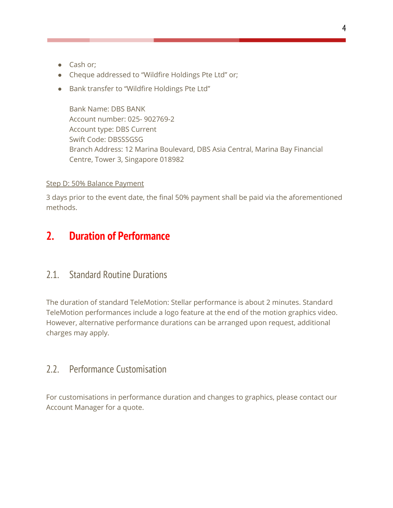- Cash or;
- Cheque addressed to "Wildfire Holdings Pte Ltd" or;
- Bank transfer to "Wildfire Holdings Pte Ltd"

Bank Name: DBS BANK Account number: 025- 902769-2 Account type: DBS Current Swift Code: DBSSSGSG Branch Address: 12 Marina Boulevard, DBS Asia Central, Marina Bay Financial Centre, Tower 3, Singapore 018982

#### Step D: 50% Balance Payment

3 days prior to the event date, the final 50% payment shall be paid via the aforementioned methods.

# <span id="page-4-0"></span>**2. Duration of Performance**

## <span id="page-4-1"></span>2.1. Standard Routine Durations

The duration of standard TeleMotion: Stellar performance is about 2 minutes. Standard TeleMotion performances include a logo feature at the end of the motion graphics video. However, alternative performance durations can be arranged upon request, additional charges may apply.

## <span id="page-4-2"></span>2.2. Performance Customisation

For customisations in performance duration and changes to graphics, please contact our Account Manager for a quote.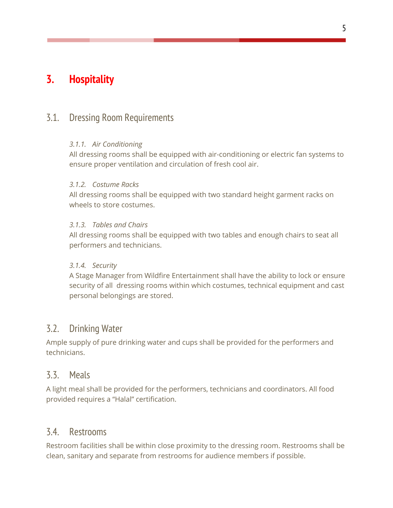# <span id="page-5-0"></span>**3. Hospitality**

## <span id="page-5-1"></span>3.1. Dressing Room Requirements

#### *3.1.1. Air Conditioning*

All dressing rooms shall be equipped with air-conditioning or electric fan systems to ensure proper ventilation and circulation of fresh cool air.

#### *3.1.2. Costume Racks*

All dressing rooms shall be equipped with two standard height garment racks on wheels to store costumes.

#### *3.1.3. Tables and Chairs*

All dressing rooms shall be equipped with two tables and enough chairs to seat all performers and technicians.

#### *3.1.4. Security*

A Stage Manager from Wildfire Entertainment shall have the ability to lock or ensure security of all dressing rooms within which costumes, technical equipment and cast personal belongings are stored.

## <span id="page-5-2"></span>3.2. Drinking Water

Ample supply of pure drinking water and cups shall be provided for the performers and technicians.

### <span id="page-5-3"></span>3.3. Meals

A light meal shall be provided for the performers, technicians and coordinators. All food provided requires a "Halal" certification.

### <span id="page-5-4"></span>3.4. Restrooms

Restroom facilities shall be within close proximity to the dressing room. Restrooms shall be clean, sanitary and separate from restrooms for audience members if possible.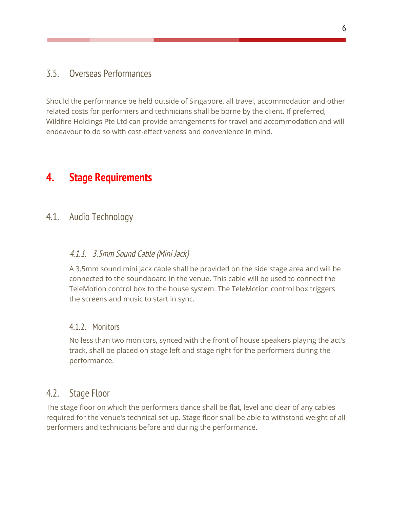## <span id="page-6-0"></span>3.5. Overseas Performances

Should the performance be held outside of Singapore, all travel, accommodation and other related costs for performers and technicians shall be borne by the client. If preferred, Wildfire Holdings Pte Ltd can provide arrangements for travel and accommodation and will endeavour to do so with cost-effectiveness and convenience in mind.

# <span id="page-6-2"></span><span id="page-6-1"></span>**4. Stage Requirements**

## <span id="page-6-3"></span>4.1. Audio Technology

## 4.1.1. 3.5mm Sound Cable (Mini Jack)

A 3.5mm sound mini jack cable shall be provided on the side stage area and will be connected to the soundboard in the venue. This cable will be used to connect the TeleMotion control box to the house system. The TeleMotion control box triggers the screens and music to start in sync.

### <span id="page-6-4"></span>4.1.2. Monitors

No less than two monitors, synced with the front of house speakers playing the act's track, shall be placed on stage left and stage right for the performers during the performance.

## <span id="page-6-5"></span>4.2. Stage Floor

The stage floor on which the performers dance shall be flat, level and clear of any cables required for the venue's technical set up. Stage floor shall be able to withstand weight of all performers and technicians before and during the performance.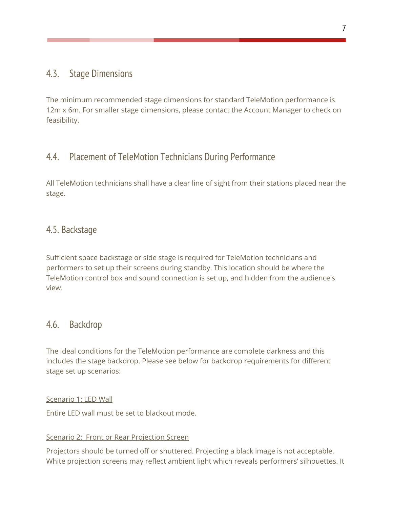## <span id="page-7-0"></span>4.3. Stage Dimensions

The minimum recommended stage dimensions for standard TeleMotion performance is 12m x 6m. For smaller stage dimensions, please contact the Account Manager to check on feasibility.

## <span id="page-7-1"></span>4.4. Placement of TeleMotion Technicians During Performance

All TeleMotion technicians shall have a clear line of sight from their stations placed near the stage.

## <span id="page-7-2"></span>4.5. Backstage

Sufficient space backstage or side stage is required for TeleMotion technicians and performers to set up their screens during standby. This location should be where the TeleMotion control box and sound connection is set up, and hidden from the audience's view.

## <span id="page-7-3"></span>4.6. Backdrop

The ideal conditions for the TeleMotion performance are complete darkness and this includes the stage backdrop. Please see below for backdrop requirements for different stage set up scenarios:

#### Scenario 1: LED Wall

Entire LED wall must be set to blackout mode.

#### Scenario 2: Front or Rear Projection Screen

Projectors should be turned off or shuttered. Projecting a black image is not acceptable. White projection screens may reflect ambient light which reveals performers' silhouettes. It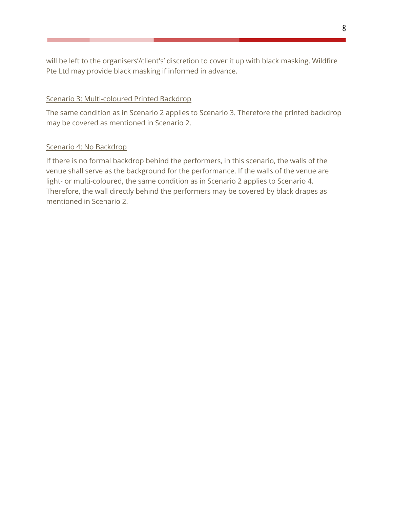will be left to the organisers'/client's' discretion to cover it up with black masking. Wildfire Pte Ltd may provide black masking if informed in advance.

#### Scenario 3: Multi-coloured Printed Backdrop

The same condition as in Scenario 2 applies to Scenario 3. Therefore the printed backdrop may be covered as mentioned in Scenario 2.

#### Scenario 4: No Backdrop

If there is no formal backdrop behind the performers, in this scenario, the walls of the venue shall serve as the background for the performance. If the walls of the venue are light- or multi-coloured, the same condition as in Scenario 2 applies to Scenario 4. Therefore, the wall directly behind the performers may be covered by black drapes as mentioned in Scenario 2.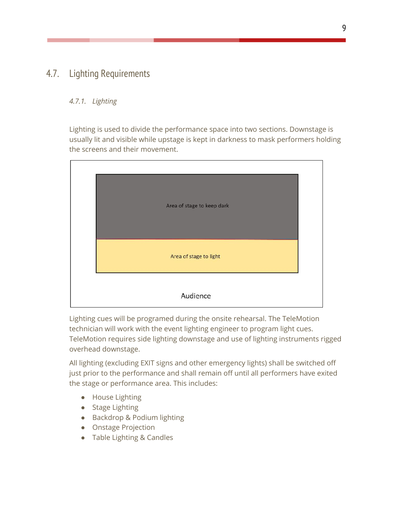## <span id="page-9-0"></span>4.7. Lighting Requirements

#### *4.7.1. Lighting*

Lighting is used to divide the performance space into two sections. Downstage is usually lit and visible while upstage is kept in darkness to mask performers holding the screens and their movement.



Lighting cues will be programed during the onsite rehearsal. The TeleMotion technician will work with the event lighting engineer to program light cues. TeleMotion requires side lighting downstage and use of lighting instruments rigged overhead downstage.

All lighting (excluding EXIT signs and other emergency lights) shall be switched off just prior to the performance and shall remain off until all performers have exited the stage or performance area. This includes:

- House Lighting
- Stage Lighting
- Backdrop & Podium lighting
- Onstage Projection
- Table Lighting & Candles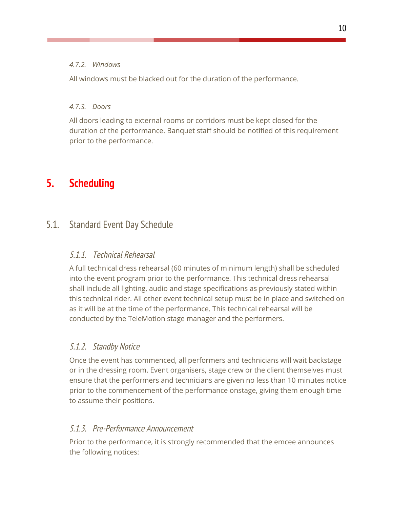#### *4.7.2. Windows*

All windows must be blacked out for the duration of the performance.

#### *4.7.3. Doors*

All doors leading to external rooms or corridors must be kept closed for the duration of the performance. Banquet staff should be notified of this requirement prior to the performance.

# <span id="page-10-0"></span>**5. Scheduling**

# <span id="page-10-2"></span><span id="page-10-1"></span>5.1. Standard Event Day Schedule

## 5.1.1. Technical Rehearsal

A full technical dress rehearsal (60 minutes of minimum length) shall be scheduled into the event program prior to the performance. This technical dress rehearsal shall include all lighting, audio and stage specifications as previously stated within this technical rider. All other event technical setup must be in place and switched on as it will be at the time of the performance. This technical rehearsal will be conducted by the TeleMotion stage manager and the performers.

## <span id="page-10-3"></span>5.1.2. Standby Notice

Once the event has commenced, all performers and technicians will wait backstage or in the dressing room. Event organisers, stage crew or the client themselves must ensure that the performers and technicians are given no less than 10 minutes notice prior to the commencement of the performance onstage, giving them enough time to assume their positions.

## <span id="page-10-4"></span>5.1.3. Pre-Performance Announcement

Prior to the performance, it is strongly recommended that the emcee announces the following notices: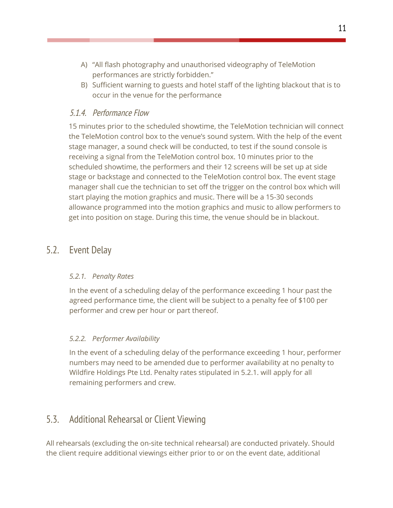- A) "All flash photography and unauthorised videography of TeleMotion performances are strictly forbidden."
- B) Sufficient warning to guests and hotel staff of the lighting blackout that is to occur in the venue for the performance

### <span id="page-11-0"></span>5.1.4. Performance Flow

15 minutes prior to the scheduled showtime, the TeleMotion technician will connect the TeleMotion control box to the venue's sound system. With the help of the event stage manager, a sound check will be conducted, to test if the sound console is receiving a signal from the TeleMotion control box. 10 minutes prior to the scheduled showtime, the performers and their 12 screens will be set up at side stage or backstage and connected to the TeleMotion control box. The event stage manager shall cue the technician to set off the trigger on the control box which will start playing the motion graphics and music. There will be a 15-30 seconds allowance programmed into the motion graphics and music to allow performers to get into position on stage. During this time, the venue should be in blackout.

## <span id="page-11-1"></span>5.2. Event Delay

#### *5.2.1. Penalty Rates*

In the event of a scheduling delay of the performance exceeding 1 hour past the agreed performance time, the client will be subject to a penalty fee of \$100 per performer and crew per hour or part thereof.

### *5.2.2. Performer Availability*

In the event of a scheduling delay of the performance exceeding 1 hour, performer numbers may need to be amended due to performer availability at no penalty to Wildfire Holdings Pte Ltd. Penalty rates stipulated in 5.2.1. will apply for all remaining performers and crew.

## <span id="page-11-2"></span>5.3. Additional Rehearsal or Client Viewing

All rehearsals (excluding the on-site technical rehearsal) are conducted privately. Should the client require additional viewings either prior to or on the event date, additional